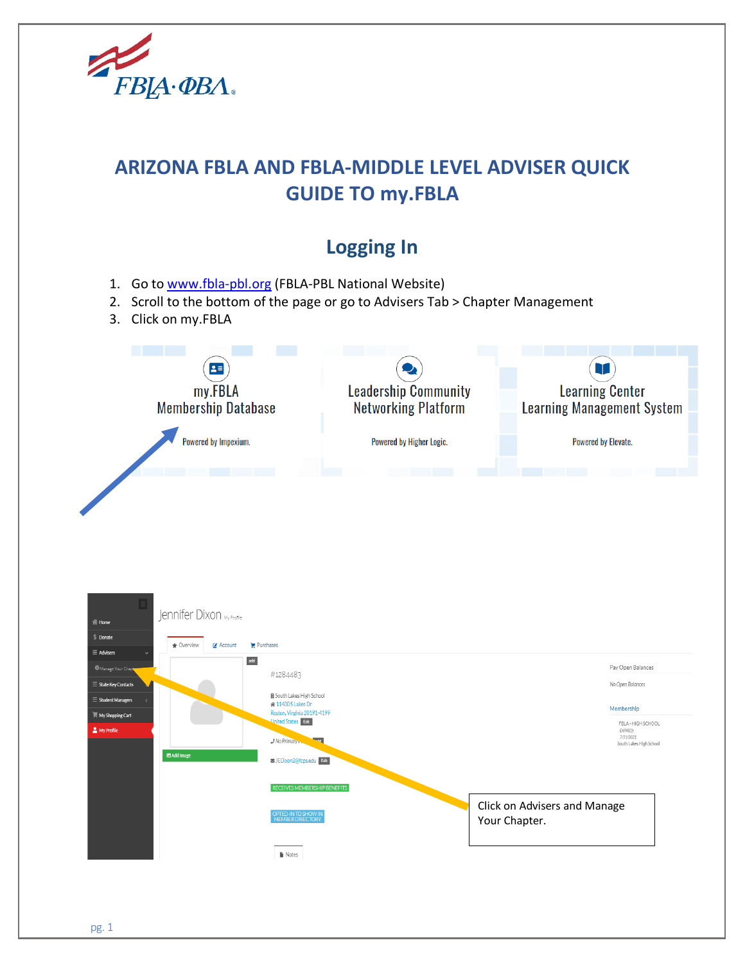

# **ARIZONA FBLA AND FBLA-MIDDLE LEVEL ADVISER QUICK GUIDE TO my.FBLA**

# **Logging In**

- 1. Go to [www.fbla-pbl.org](http://www.fbla-pbl.org/) (FBLA-PBL National Website)
- 2. Scroll to the bottom of the page or go to Advisers Tab > Chapter Management
- 3. Click on my.FBLA



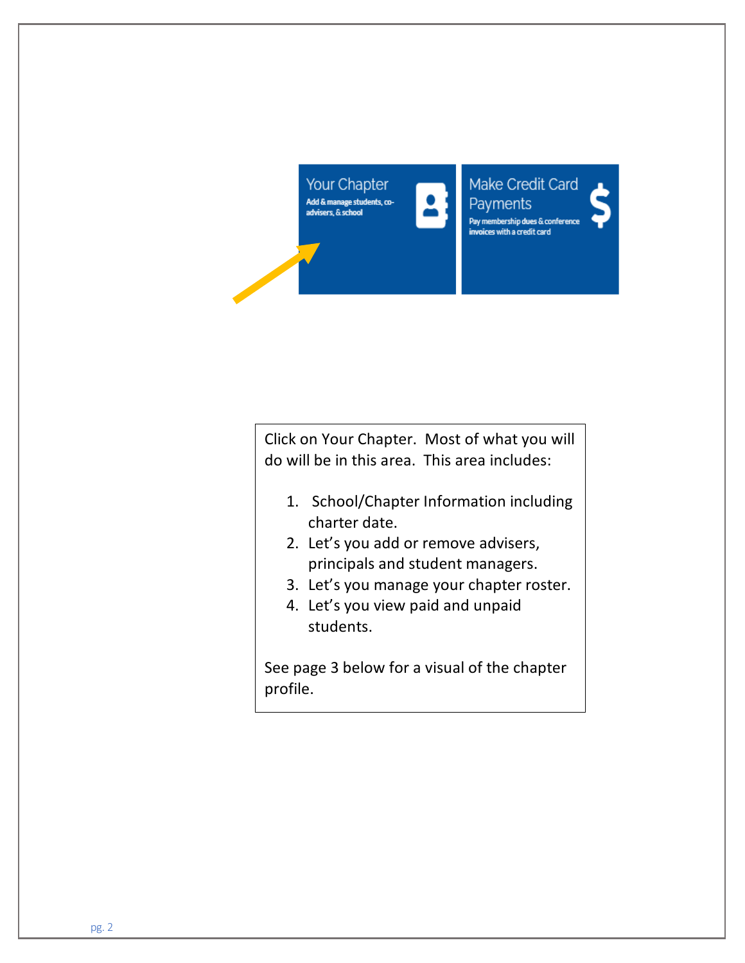

Make Credit Card **Payments** Pay membership dues & conference invoices with a credit card

Click on Your Chapter. Most of what you will do will be in this area. This area includes:

- 1. School/Chapter Information including charter date.
- 2. Let's you add or remove advisers, principals and student managers.
- 3. Let's you manage your chapter roster.
- 4. Let's you view paid and unpaid students.

See page 3 below for a visual of the chapter profile.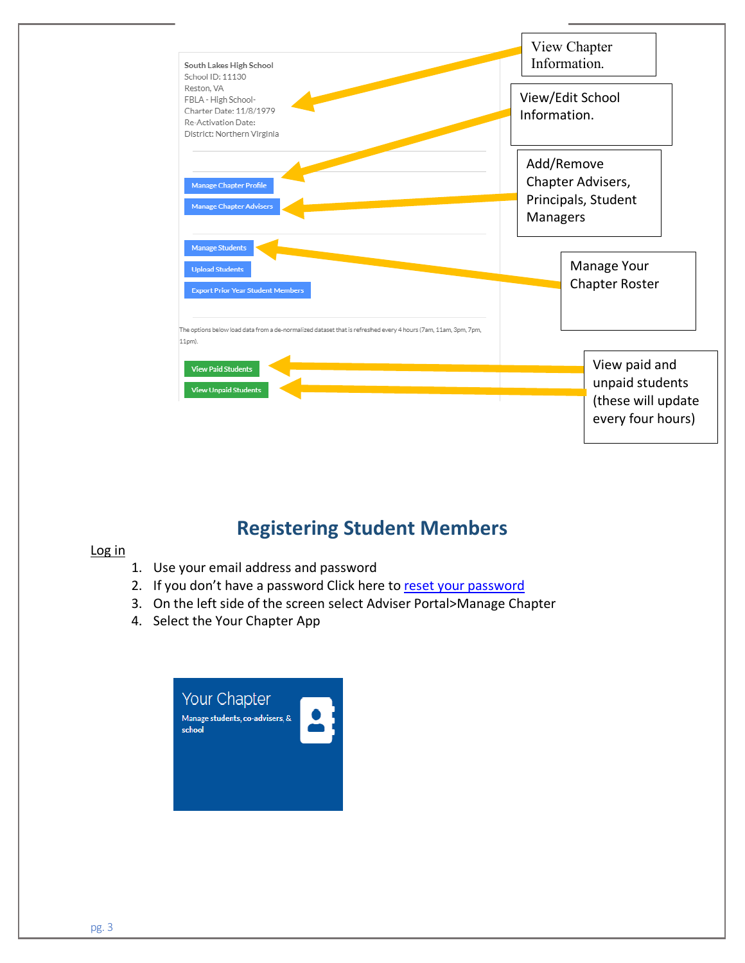

# **Registering Student Members**

#### Log in

- 1. Use your email address and password
- 2. If you don't have a password Click here to [reset](https://my.fbla-pbl.org/account/login.aspx) your password
- 3. On the left side of the screen select Adviser Portal>Manage Chapter
- 4. Select the Your Chapter App

| <b>Your Chapter</b><br>Manage students, co-advisers, &<br>school |  |
|------------------------------------------------------------------|--|
|                                                                  |  |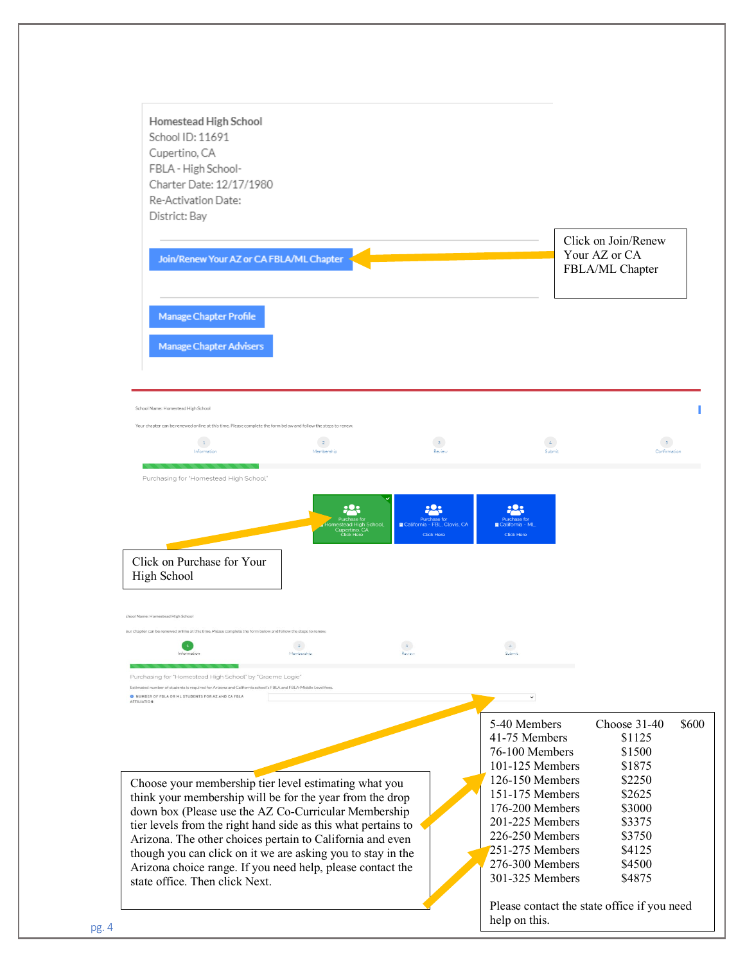| Homestead High School<br>School ID: 11691<br>Cupertino, CA<br>FBLA - High School-<br>Charter Date: 12/17/1980<br>Re-Activation Date:<br>District: Bay                                                                                                                                                                                                                                                                                                                  |                                                                                    |                                                   |                                                                                                                                                                                                                            |                                                                                                                            |       |
|------------------------------------------------------------------------------------------------------------------------------------------------------------------------------------------------------------------------------------------------------------------------------------------------------------------------------------------------------------------------------------------------------------------------------------------------------------------------|------------------------------------------------------------------------------------|---------------------------------------------------|----------------------------------------------------------------------------------------------------------------------------------------------------------------------------------------------------------------------------|----------------------------------------------------------------------------------------------------------------------------|-------|
| Join/Renew Your AZ or CA FBLA/ML Chapter                                                                                                                                                                                                                                                                                                                                                                                                                               |                                                                                    |                                                   |                                                                                                                                                                                                                            | Click on Join/Renew<br>Your AZ or CA<br>FBLA/ML Chapter                                                                    |       |
| <b>Manage Chapter Profile</b><br>Manage Chapter Advisers                                                                                                                                                                                                                                                                                                                                                                                                               |                                                                                    |                                                   |                                                                                                                                                                                                                            |                                                                                                                            |       |
| School Name: Homestead High School<br>Your chapter can be renewed online at this time. Please complete the form below and follow the steps to renew<br>$\mid$ 1 $\mid$<br>Information                                                                                                                                                                                                                                                                                  | $-2$<br>Membership                                                                 | 3 <sup>1</sup><br>Review                          | $\Delta$<br>Submit                                                                                                                                                                                                         | 5 <sup>7</sup><br>Confirmation                                                                                             |       |
| Purchasing for "Homestead High School"<br>Click on Purchase for Your<br>High School                                                                                                                                                                                                                                                                                                                                                                                    | <u>:2:</u><br>Purchase for<br>omestead High School,<br>Cupertino, CA<br>Click Here | California - FBL, Clovis, CA<br><b>Click Here</b> | California - ML,<br><b>Click Here</b>                                                                                                                                                                                      |                                                                                                                            |       |
| chool Name: Homestead High School<br>ur chapter can be renewed online at this time. Please complete the form below and follow the steps to r<br>$\mathbf{1}$<br>Information                                                                                                                                                                                                                                                                                            | $\overline{2}$<br>Membership                                                       | $\sqrt{3}$<br>Review                              | $\overline{4}$<br>Submit                                                                                                                                                                                                   |                                                                                                                            |       |
| Purchasing for "Homestead High School" by "Graeme Logie'<br>Estimated number of students is required for Arizona and California school's FBLA and FBLA-Middle Level fees.<br>O NUMBER OF FBLA OR ML STUDENTS FOR AZ AND CA FBLA<br>AFFILIATION                                                                                                                                                                                                                         |                                                                                    |                                                   |                                                                                                                                                                                                                            |                                                                                                                            |       |
| Choose your membership tier level estimating what you<br>think your membership will be for the year from the drop<br>down box (Please use the AZ Co-Curricular Membership<br>tier levels from the right hand side as this what pertains to<br>Arizona. The other choices pertain to California and even<br>though you can click on it we are asking you to stay in the<br>Arizona choice range. If you need help, please contact the<br>state office. Then click Next. |                                                                                    |                                                   | 5-40 Members<br>41-75 Members<br>76-100 Members<br>101-125 Members<br>126-150 Members<br>151-175 Members<br>176-200 Members<br>201-225 Members<br>226-250 Members<br>251-275 Members<br>276-300 Members<br>301-325 Members | Choose 31-40<br>\$1125<br>\$1500<br>\$1875<br>\$2250<br>\$2625<br>\$3000<br>\$3375<br>\$3750<br>\$4125<br>\$4500<br>\$4875 | \$600 |
|                                                                                                                                                                                                                                                                                                                                                                                                                                                                        |                                                                                    |                                                   | help on this.                                                                                                                                                                                                              | Please contact the state office if you need                                                                                |       |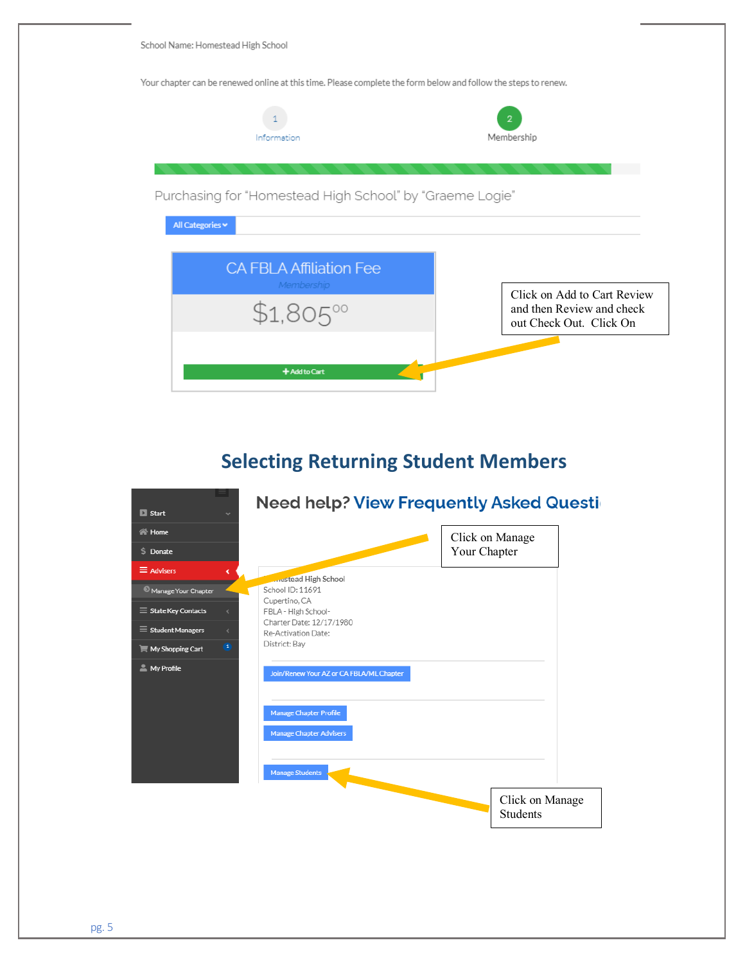School Name: Homestead High School

Your chapter can be renewed online at this time. Please complete the form below and follow the steps to renew.



## **Selecting Returning Student Members**

| $\blacksquare$ Start<br>v                       | <b>Need help? View Frequently Asked Questid</b> |                                    |
|-------------------------------------------------|-------------------------------------------------|------------------------------------|
| <b>谷 Home</b>                                   |                                                 | Click on Manage                    |
| S Donate                                        |                                                 | Your Chapter                       |
| $\equiv$ Advisers<br>e                          | <b>Article High School</b>                      |                                    |
| Manage Your Chapter                             | School ID: 11691                                |                                    |
| $\equiv$ State Key Contacts<br>K.               | Cupertino, CA<br>FBLA - High School-            |                                    |
| $\equiv$ Student Managers<br>k.                 | Charter Date: 12/17/1980<br>Re-Activation Date: |                                    |
| $\mathbf{1}$<br>$\blacksquare$ My Shopping Cart | District: Bay                                   |                                    |
| My Profile                                      | Join/Renew Your AZ or CA FBLA/ML Chapter        |                                    |
|                                                 | <b>Manage Chapter Profile</b>                   |                                    |
|                                                 | <b>Manage Chapter Advisers</b>                  |                                    |
|                                                 | <b>Manage Students</b>                          |                                    |
|                                                 |                                                 | Click on Manage<br><b>Students</b> |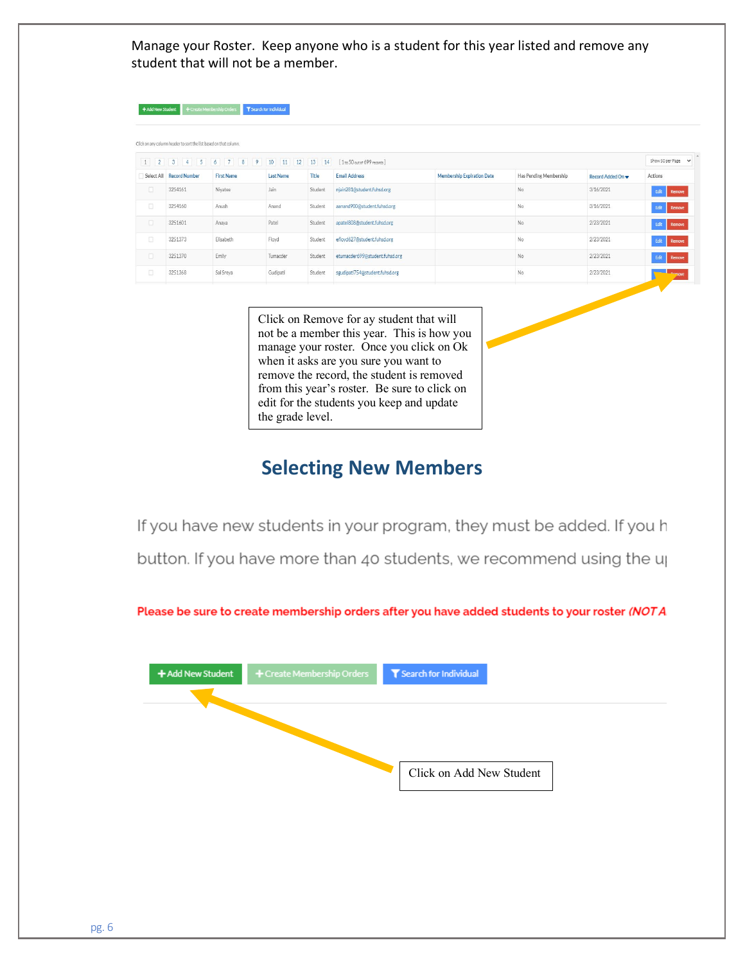Manage your Roster. Keep anyone who is a student for this year listed and remove any student that will not be a member.

|                      |                                                               |                                                                |                                    |                   |                                                      |                            |                        |                                       | Show 50 per Page v |
|----------------------|---------------------------------------------------------------|----------------------------------------------------------------|------------------------------------|-------------------|------------------------------------------------------|----------------------------|------------------------|---------------------------------------|--------------------|
| 2<br>1<br>Select All | 5<br>3 <sup>1</sup><br>$\overline{4}$<br><b>Record Number</b> | 7 <sub>1</sub><br>8<br>$\frac{1}{9}$<br>6<br><b>First Name</b> | 10<br>11<br>12<br><b>Last Name</b> | 13<br>14<br>Title | [1 to 50 out of 699 records]<br><b>Email Address</b> | Membership Expiration Date | Has Pending Membership | Record Added On $\blacktriangleright$ | Actions            |
| $\Box$               | 3254161                                                       | Nivatee                                                        | Jain                               | Student           | njain281@student.fuhsd.org                           |                            | No.                    | 3/16/2021                             | Edit<br>Remove     |
| O                    | 3254160                                                       | Anush                                                          | Anand                              | Student           | aanand900@student.fuhsd.org                          |                            | No                     | 3/16/2021                             | Edit<br>Remove     |
| $\Box$               | 3251601                                                       | Anaya                                                          | Patel                              | Student           | apatel808@student.fuhsd.org                          |                            | No                     | 2/23/2021                             | Edit<br>Remove     |
| $\Box$               | 3251373                                                       | Elisabeth                                                      | Floyd                              | Student           | efloyd627@student.fuhsd.org                          |                            | No                     | 2/23/2021                             | Edit<br>Remove     |
| $\Box$               | 3251370                                                       | Emily                                                          | Tumacder                           | Student           | etumacder699@student.fuhsd.org                       |                            | No                     | 2/23/2021                             | Edit Remove        |
| $\Box$               | 3251368                                                       | Sai Sreya                                                      | Gudipati                           | Student           | sgudipati754@student.fuhsd.org                       |                            | No.                    | 2/23/2021                             | Domave             |

Click on Remove for ay student that will not be a member this year. This is how you manage your roster. Once you click on Ok when it asks are you sure you want to remove the record, the student is removed from this year's roster. Be sure to click on edit for the students you keep and update the grade level.

#### **Selecting New Members**

If you have new students in your program, they must be added. If you h button. If you have more than 40 students, we recommend using the up

Please be sure to create membership orders after you have added students to your roster (NOTA.

|  | Click on Add New Student |
|--|--------------------------|
|  |                          |
|  |                          |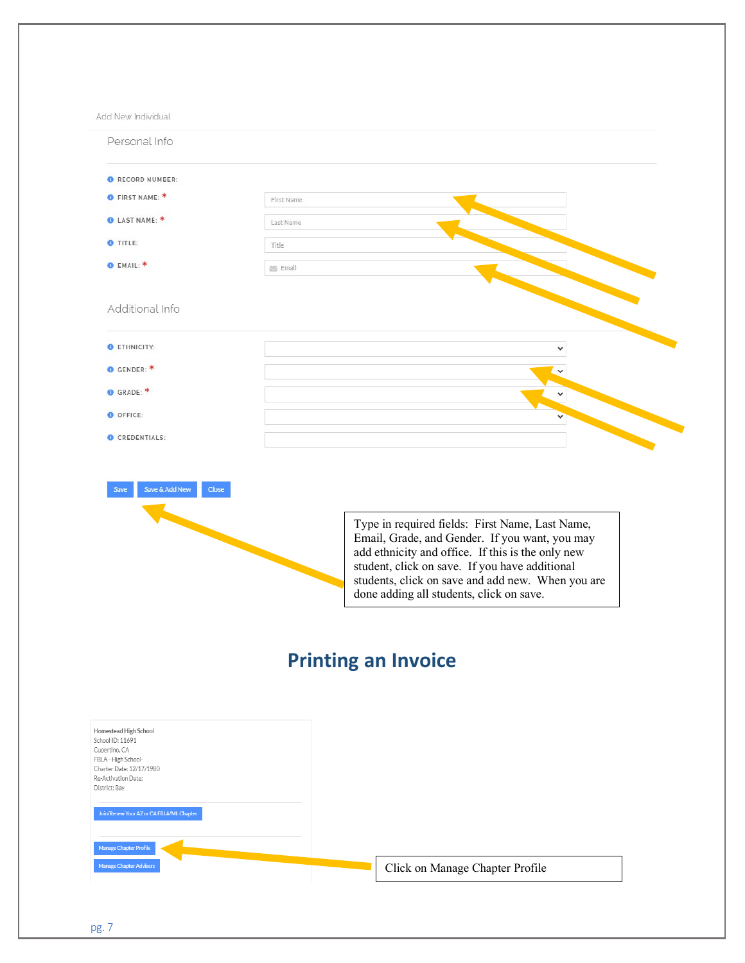Add New Individual

| Personal Info                   |                                                                                                                                                                                                                                                                                                           |
|---------------------------------|-----------------------------------------------------------------------------------------------------------------------------------------------------------------------------------------------------------------------------------------------------------------------------------------------------------|
| RECORD NUMBER:                  |                                                                                                                                                                                                                                                                                                           |
| <b>O</b> FIRST NAME: *          | First Name                                                                                                                                                                                                                                                                                                |
| <b>O</b> LAST NAME: *           | Last Name                                                                                                                                                                                                                                                                                                 |
| O TITLE:                        | Title                                                                                                                                                                                                                                                                                                     |
| <b>O</b> EMAIL: *               | Email                                                                                                                                                                                                                                                                                                     |
| Additional Info                 |                                                                                                                                                                                                                                                                                                           |
| ETHNICITY:                      |                                                                                                                                                                                                                                                                                                           |
| GENDER: *                       |                                                                                                                                                                                                                                                                                                           |
| GRADE: *                        |                                                                                                                                                                                                                                                                                                           |
| O OFFICE:                       |                                                                                                                                                                                                                                                                                                           |
| CREDENTIALS:                    |                                                                                                                                                                                                                                                                                                           |
| Save & Add New<br>Close<br>Save |                                                                                                                                                                                                                                                                                                           |
|                                 | Type in required fields: First Name, Last Name,<br>Email, Grade, and Gender. If you want, you may<br>add ethnicity and office. If this is the only new<br>student, click on save. If you have additional<br>students, click on save and add new. When you are<br>done adding all students, click on save. |
|                                 | <b>Printing an Invoice</b>                                                                                                                                                                                                                                                                                |

| Homestead High School<br>School ID: 11691<br>Cupertino, CA<br>FBLA - High School-<br>Charter Date: 12/17/1980<br>Re-Activation Date:<br>District: Bay<br>Join/Renew Your AZ or CA FBLA/ML Chapter<br>Manage Chapter Profile |                                 |
|-----------------------------------------------------------------------------------------------------------------------------------------------------------------------------------------------------------------------------|---------------------------------|
| Manage Chapter Advisers                                                                                                                                                                                                     | Click on Manage Chapter Profile |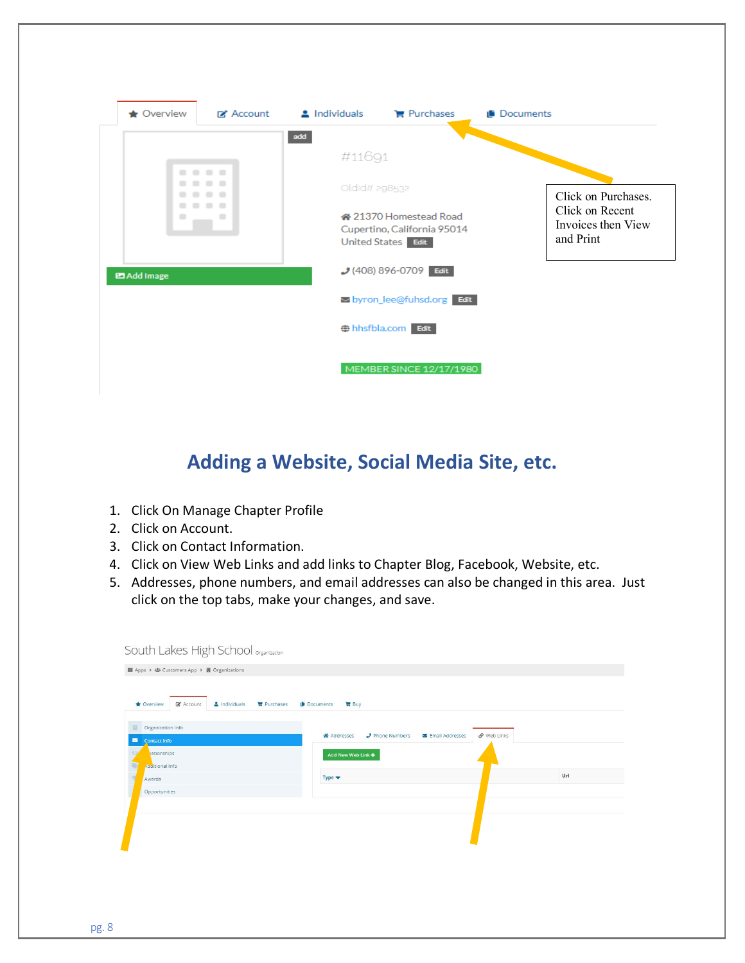| $\bigstar$ Overview | <b>⊓</b> Account | $\triangle$ Individuals | $\mathbf{F}$ Purchases                                                      | <b>Ili</b> Documents |                                                    |
|---------------------|------------------|-------------------------|-----------------------------------------------------------------------------|----------------------|----------------------------------------------------|
|                     | - -              | add<br>#11691           |                                                                             |                      |                                                    |
|                     |                  | Oldid# 298532           |                                                                             |                      | Click on Purchases.                                |
| ۰                   | ▬                |                         | « 21370 Homestead Road<br>Cupertino, California 95014<br>United States Edit |                      | Click on Recent<br>Invoices then View<br>and Print |
| <b>Example 14</b>   |                  |                         | $(408) 896 - 0709$ Edit                                                     |                      |                                                    |
|                     |                  |                         | so byron_lee@fuhsd.org Edit                                                 |                      |                                                    |
|                     |                  |                         | # hhsfbla.com Edit                                                          |                      |                                                    |
|                     |                  |                         | MEMBER SINCE 12/17/1980                                                     |                      |                                                    |

# **Adding a Website, Social Media Site, etc.**

- 1. Click On Manage Chapter Profile
- 2. Click on Account.
- 3. Click on Contact Information.
- 4. Click on View Web Links and add links to Chapter Blog, Facebook, Website, etc.
- 5. Addresses, phone numbers, and email addresses can also be changed in this area. Just click on the top tabs, make your changes, and save.

| <b>*</b> Overview<br>& Account<br>A Individuals<br><b>胃</b> Purchases | Documents<br>B <sub>uy</sub>                                     |     |
|-----------------------------------------------------------------------|------------------------------------------------------------------|-----|
| Organization Info                                                     | P Web Links<br>J Phone Numbers<br>« Addresses<br>Email Addresses |     |
| Contact Info<br>lationships                                           | Add New Web Link +                                               |     |
| Aguitional Info                                                       |                                                                  |     |
| Awards                                                                | Type $\blacktriangledown$                                        | Url |
| Opportunities                                                         |                                                                  |     |
|                                                                       |                                                                  |     |
|                                                                       |                                                                  |     |
|                                                                       |                                                                  |     |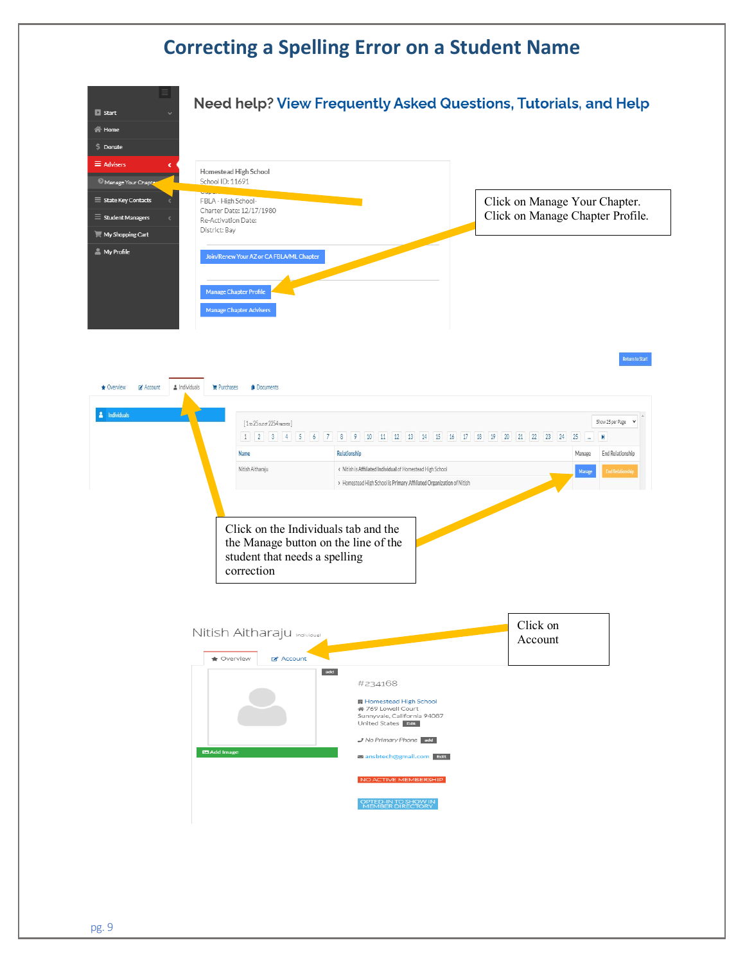## **Correcting a Spelling Error on a Student Name**

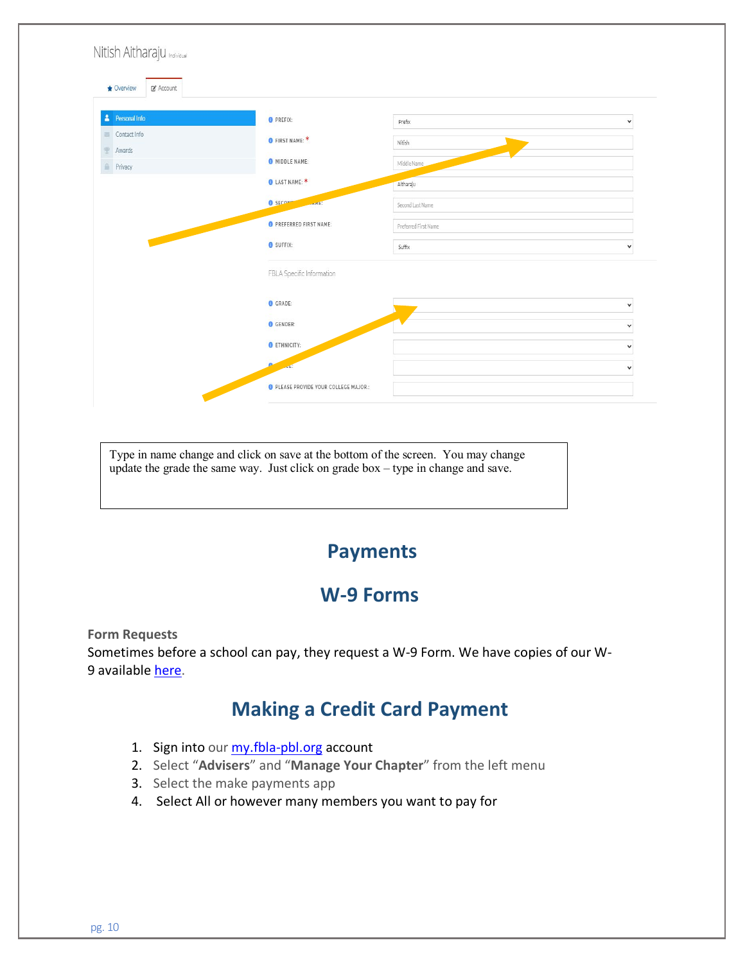| Nitish Aitharaju                 |                                              |                      |              |
|----------------------------------|----------------------------------------------|----------------------|--------------|
| ■ Account<br>$\bigstar$ Overview |                                              |                      |              |
| <b>Personal Info</b><br>А        | <b>O</b> PREFIX:                             | Prefix               | $\checkmark$ |
| Contact Info<br>器<br>Awards      | O FIRST NAME: *                              | Nitish               |              |
| Privacy                          | MIDDLE NAME:                                 | Middle Name          |              |
|                                  | <b>O</b> LAST NAME: *                        | Aitharaju            |              |
|                                  | O SECOND<br><b>Control</b>                   | Second Last Name     |              |
|                                  | <b>O</b> PREFERRED FIRST NAME:               | Preferred First Name |              |
| <b>CONTRACTOR</b>                | <b>O</b> SUFFIX:                             | Suffix               | $\checkmark$ |
|                                  | FBLA Specific Information                    |                      |              |
|                                  | GRADE:                                       |                      | $\checkmark$ |
|                                  | GENDER:                                      |                      | $\checkmark$ |
|                                  | <b>O</b> ETHNICITY:                          |                      | $\checkmark$ |
|                                  |                                              |                      | $\checkmark$ |
|                                  | <b>O</b> PLEASE PROVIDE YOUR COLLEGE MAJOR.: |                      |              |

Type in name change and click on save at the bottom of the screen. You may change update the grade the same way. Just click on grade box – type in change and save.

### **Payments**

### **W-9 Forms**

**Form Requests** Sometimes before a school can pay, they request a W-9 Form. We have copies of our W-9 available [here.](https://www.fbla-pbl.org/media/2021/07/FBLA-Payment-Lockbox-2021-W-9.pdf)

## **Making a Credit Card Payment**

- 1. Sign into our [my.fbla-pbl.org](https://nam05.safelinks.protection.outlook.com/?url=http%3A%2F%2Fmy.fbla-pbl.org&data=02%7C01%7Cgeneral%40fbla.org%7C5ca6948a7eb64ba3475d08d74807f4cf%7Cf8dc1ea31b964498afe59a1ba91b6a7e%7C0%7C0%7C637057071330684788&sdata=vbxasqHt0RlZS%2FKK1Q2JEeJnumXePLgpcOcgybt2WyU%3D&reserved=0) account
- 2. Select "**Advisers**" and "**Manage Your Chapter**" from the left menu
- 3. Select the make payments app
- 4. Select All or however many members you want to pay for